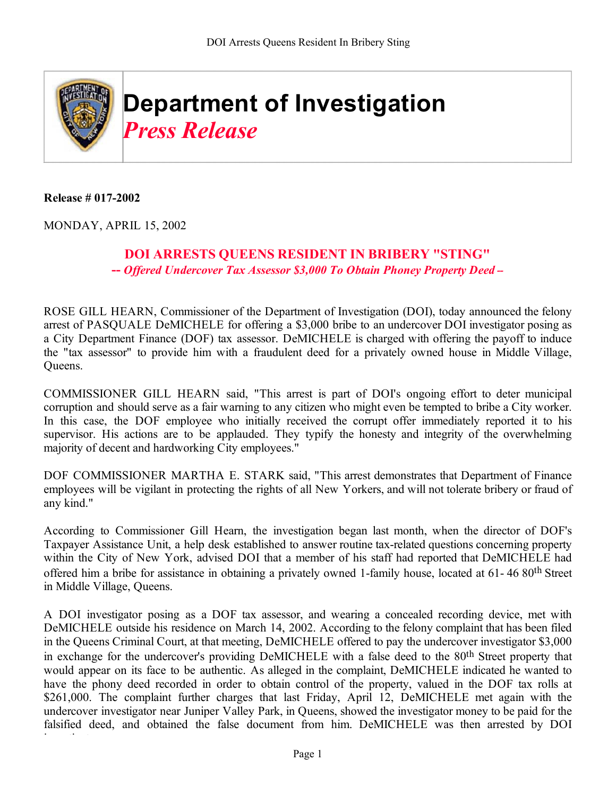

**Release # 017-2002**

MONDAY, APRIL 15, 2002

## **DOI ARRESTS QUEENS RESIDENT IN BRIBERY "STING" --** *Offered Undercover Tax Assessor \$3,000 To Obtain Phoney Property Deed --*

ROSE GILL HEARN, Commissioner of the Department of Investigation (DOI), today announced the felony arrest of PASQUALE DeMICHELE for offering a \$3,000 bribe to an undercover DOI investigator posing as a City Department Finance (DOF) tax assessor. DeMICHELE is charged with offering the payoff to induce the "tax assessor" to provide him with a fraudulent deed for a privately owned house in Middle Village, Queens.

COMMISSIONER GILL HEARN said, "This arrest is part of DOI's ongoing effort to deter municipal corruption and should serve as a fair warning to any citizen who might even be tempted to bribe a City worker. In this case, the DOF employee who initially received the corrupt offer immediately reported it to his supervisor. His actions are to be applauded. They typify the honesty and integrity of the overwhelming majority of decent and hardworking City employees."

DOF COMMISSIONER MARTHA E. STARK said, "This arrest demonstrates that Department of Finance employees will be vigilant in protecting the rights of all New Yorkers, and will not tolerate bribery or fraud of any kind."

According to Commissioner Gill Hearn, the investigation began last month, when the director of DOF's Taxpayer Assistance Unit, a help desk established to answer routine tax-related questions concerning property within the City of New York, advised DOI that a member of his staff had reported that DeMICHELE had offered him a bribe for assistance in obtaining a privately owned 1-family house, located at 61- 46 80th Street in Middle Village, Queens.

A DOI investigator posing as a DOF tax assessor, and wearing a concealed recording device, met with DeMICHELE outside his residence on March 14, 2002. According to the felony complaint that has been filed in the Queens Criminal Court, at that meeting, DeMICHELE offered to pay the undercover investigator \$3,000 in exchange for the undercover's providing DeMICHELE with a false deed to the 80th Street property that would appear on its face to be authentic. As alleged in the complaint, DeMICHELE indicated he wanted to have the phony deed recorded in order to obtain control of the property, valued in the DOF tax rolls at \$261,000. The complaint further charges that last Friday, April 12, DeMICHELE met again with the undercover investigator near Juniper Valley Park, in Queens, showed the investigator money to be paid for the falsified deed, and obtained the false document from him. DeMICHELE was then arrested by DOI i ti t